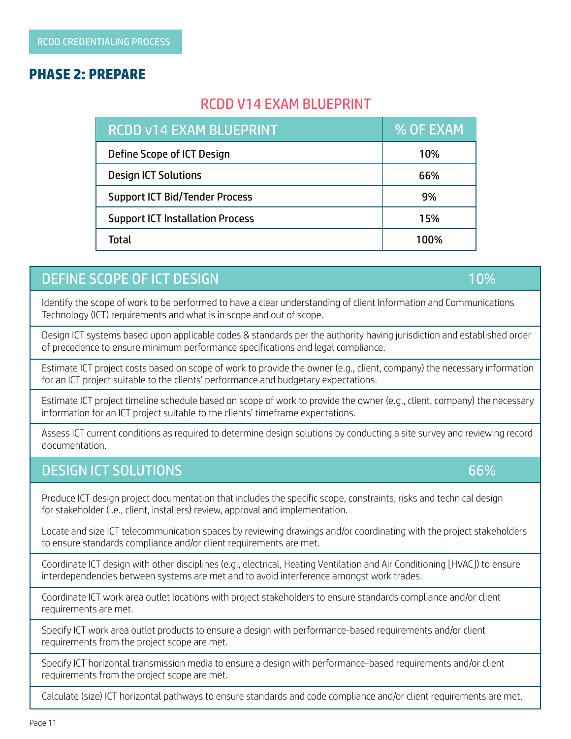#### **PHASE 2: PREPARE**

# RCDD V14 EXAM BLUEPRINT

| <b>RCDD v14 EXAM BLUEPRINT</b>          | % OF EXAM |
|-----------------------------------------|-----------|
| Define Scope of ICT Design              | 10%       |
| <b>Design ICT Solutions</b>             | 66%       |
| <b>Support ICT Bid/Tender Process</b>   | 9%        |
| <b>Support ICT Installation Process</b> | 15%       |
| Total                                   | 100%      |

## DEFINE SCOPE OF ICT DESIGN 10% and 10% and 10% and 10% and 10% and 10% and 10% and 10% and 10% and 10% and 10%

Identify the scope of work to be performed to have a clear understanding of client Information and Communications Technology (ICT) requirements and what is in scope and out of scope.

Design ICT systems based upon applicable codes & standards per the authority having jurisdiction and established order of precedence to ensure minimum performance specifications and legal compliance.

Estimate ICT project costs based on scope of work to provide the owner (e.g., client, company) the necessary information for an ICT project suitable to the clients' performance and budgetary expectations.

Estimate ICT project timeline schedule based on scope of work to provide the owner (e.g., client, company) the necessary information for an ICT project suitable to the clients' timeframe expectations.

Assess ICT current conditions as required to determine design solutions by conducting a site survey and reviewing record documentation.

#### DESIGN ICT SOLUTIONS 66%

Produce ICT design project documentation that includes the specific scope, constraints, risks and technical design for stakeholder (i.e., client, installers) review, approval and implementation.

Locate and size ICT telecommunication spaces by reviewing drawings and/or coordinating with the project stakeholders to ensure standards compliance and/or client requirements are met.

Coordinate ICT design with other disciplines (e.g., electrical, Heating Ventilation and Air Conditioning [HVAC]) to ensure interdependencies between systems are met and to avoid interference amongst work trades.

Coordinate ICT work area outlet locations with project stakeholders to ensure standards compliance and/or client requirements are met.

Specify ICT work area outlet products to ensure a design with performance-based requirements and/or client requirements from the project scope are met.

Specify ICT horizontal transmission media to ensure a design with performance-based requirements and/or client requirements from the project scope are met.

Calculate (size) ICT horizontal pathways to ensure standards and code compliance and/or client requirements are met.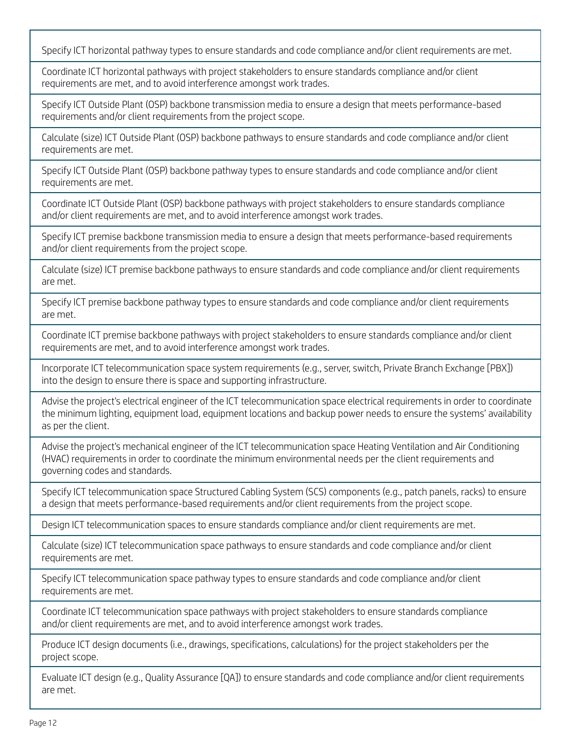Specify ICT horizontal pathway types to ensure standards and code compliance and/or client requirements are met.

Coordinate ICT horizontal pathways with project stakeholders to ensure standards compliance and/or client requirements are met, and to avoid interference amongst work trades.

Specify ICT Outside Plant (OSP) backbone transmission media to ensure a design that meets performance-based requirements and/or client requirements from the project scope.

Calculate (size) ICT Outside Plant (OSP) backbone pathways to ensure standards and code compliance and/or client requirements are met.

Specify ICT Outside Plant (OSP) backbone pathway types to ensure standards and code compliance and/or client requirements are met.

Coordinate ICT Outside Plant (OSP) backbone pathways with project stakeholders to ensure standards compliance and/or client requirements are met, and to avoid interference amongst work trades.

Specify ICT premise backbone transmission media to ensure a design that meets performance-based requirements and/or client requirements from the project scope.

Calculate (size) ICT premise backbone pathways to ensure standards and code compliance and/or client requirements are met.

Specify ICT premise backbone pathway types to ensure standards and code compliance and/or client requirements are met.

Coordinate ICT premise backbone pathways with project stakeholders to ensure standards compliance and/or client requirements are met, and to avoid interference amongst work trades.

Incorporate ICT telecommunication space system requirements (e.g., server, switch, Private Branch Exchange [PBX]) into the design to ensure there is space and supporting infrastructure.

Advise the project's electrical engineer of the ICT telecommunication space electrical requirements in order to coordinate the minimum lighting, equipment load, equipment locations and backup power needs to ensure the systems' availability as per the client.

Advise the project's mechanical engineer of the ICT telecommunication space Heating Ventilation and Air Conditioning (HVAC) requirements in order to coordinate the minimum environmental needs per the client requirements and governing codes and standards.

Specify ICT telecommunication space Structured Cabling System (SCS) components (e.g., patch panels, racks) to ensure a design that meets performance-based requirements and/or client requirements from the project scope.

Design ICT telecommunication spaces to ensure standards compliance and/or client requirements are met.

Calculate (size) ICT telecommunication space pathways to ensure standards and code compliance and/or client requirements are met.

Specify ICT telecommunication space pathway types to ensure standards and code compliance and/or client requirements are met.

Coordinate ICT telecommunication space pathways with project stakeholders to ensure standards compliance and/or client requirements are met, and to avoid interference amongst work trades.

Produce ICT design documents (i.e., drawings, specifications, calculations) for the project stakeholders per the project scope.

Evaluate ICT design (e.g., Quality Assurance [QA]) to ensure standards and code compliance and/or client requirements are met.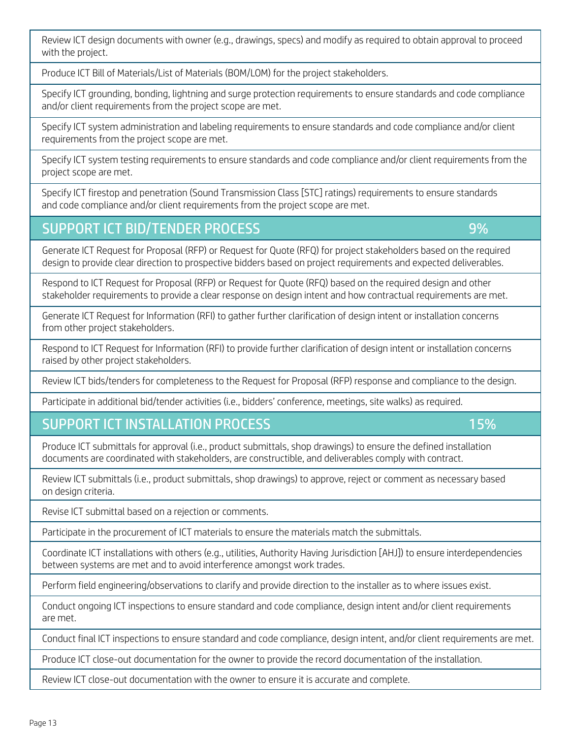Review ICT design documents with owner (e.g., drawings, specs) and modify as required to obtain approval to proceed with the project.

Produce ICT Bill of Materials/List of Materials (BOM/LOM) for the project stakeholders.

Specify ICT grounding, bonding, lightning and surge protection requirements to ensure standards and code compliance and/or client requirements from the project scope are met.

Specify ICT system administration and labeling requirements to ensure standards and code compliance and/or client requirements from the project scope are met.

Specify ICT system testing requirements to ensure standards and code compliance and/or client requirements from the project scope are met.

Specify ICT firestop and penetration (Sound Transmission Class [STC] ratings) requirements to ensure standards and code compliance and/or client requirements from the project scope are met.

# SUPPORT ICT BID/TENDER PROCESS

Generate ICT Request for Proposal (RFP) or Request for Quote (RFQ) for project stakeholders based on the required design to provide clear direction to prospective bidders based on project requirements and expected deliverables.

Respond to ICT Request for Proposal (RFP) or Request for Quote (RFQ) based on the required design and other stakeholder requirements to provide a clear response on design intent and how contractual requirements are met.

Generate ICT Request for Information (RFI) to gather further clarification of design intent or installation concerns from other project stakeholders.

Respond to ICT Request for Information (RFI) to provide further clarification of design intent or installation concerns raised by other project stakeholders.

Review ICT bids/tenders for completeness to the Request for Proposal (RFP) response and compliance to the design.

Participate in additional bid/tender activities (i.e., bidders' conference, meetings, site walks) as required.

# SUPPORT ICT INSTALLATION PROCESS

Produce ICT submittals for approval (i.e., product submittals, shop drawings) to ensure the defined installation documents are coordinated with stakeholders, are constructible, and deliverables comply with contract.

Review ICT submittals (i.e., product submittals, shop drawings) to approve, reject or comment as necessary based on design criteria.

Revise ICT submittal based on a rejection or comments.

Participate in the procurement of ICT materials to ensure the materials match the submittals.

Coordinate ICT installations with others (e.g., utilities, Authority Having Jurisdiction [AHJ]) to ensure interdependencies between systems are met and to avoid interference amongst work trades.

Perform field engineering/observations to clarify and provide direction to the installer as to where issues exist.

Conduct ongoing ICT inspections to ensure standard and code compliance, design intent and/or client requirements are met.

Conduct final ICT inspections to ensure standard and code compliance, design intent, and/or client requirements are met.

Produce ICT close-out documentation for the owner to provide the record documentation of the installation.

Review ICT close-out documentation with the owner to ensure it is accurate and complete.

9%

15%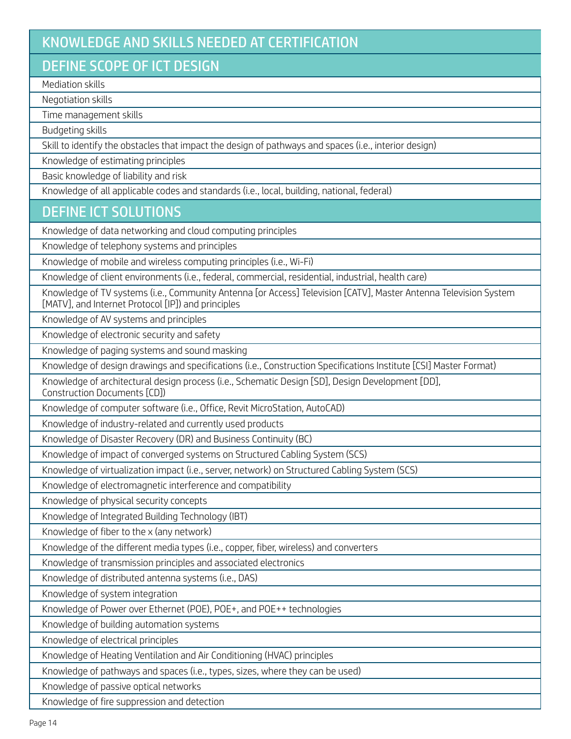# KNOWLEDGE AND SKILLS NEEDED AT CERTIFICATION

## DEFINE SCOPE OF ICT DESIGN

Mediation skills

Negotiation skills

Time management skills

Budgeting skills

Skill to identify the obstacles that impact the design of pathways and spaces (i.e., interior design)

Knowledge of estimating principles

Basic knowledge of liability and risk

Knowledge of all applicable codes and standards (i.e., local, building, national, federal)

### DEFINE ICT SOLUTIONS

Knowledge of data networking and cloud computing principles

Knowledge of telephony systems and principles

Knowledge of mobile and wireless computing principles (i.e., Wi-Fi)

Knowledge of client environments (i.e., federal, commercial, residential, industrial, health care)

Knowledge of TV systems (i.e., Community Antenna [or Access] Television [CATV], Master Antenna Television System [MATV], and Internet Protocol [IP]) and principles

Knowledge of AV systems and principles

Knowledge of electronic security and safety

Knowledge of paging systems and sound masking

Knowledge of design drawings and specifications (i.e., Construction Specifications Institute [CSI] Master Format)

Knowledge of architectural design process (i.e., Schematic Design [SD], Design Development [DD], Construction Documents [CD])

Knowledge of computer software (i.e., Office, Revit MicroStation, AutoCAD)

Knowledge of industry-related and currently used products

Knowledge of Disaster Recovery (DR) and Business Continuity (BC)

Knowledge of impact of converged systems on Structured Cabling System (SCS)

Knowledge of virtualization impact (i.e., server, network) on Structured Cabling System (SCS)

Knowledge of electromagnetic interference and compatibility

Knowledge of physical security concepts

Knowledge of Integrated Building Technology (IBT)

Knowledge of fiber to the x (any network)

Knowledge of the different media types (i.e., copper, fiber, wireless) and converters

Knowledge of transmission principles and associated electronics

Knowledge of distributed antenna systems (i.e., DAS)

Knowledge of system integration

Knowledge of Power over Ethernet (POE), POE+, and POE++ technologies

Knowledge of building automation systems

Knowledge of electrical principles

Knowledge of Heating Ventilation and Air Conditioning (HVAC) principles

Knowledge of pathways and spaces (i.e., types, sizes, where they can be used)

Knowledge of passive optical networks

Knowledge of fire suppression and detection